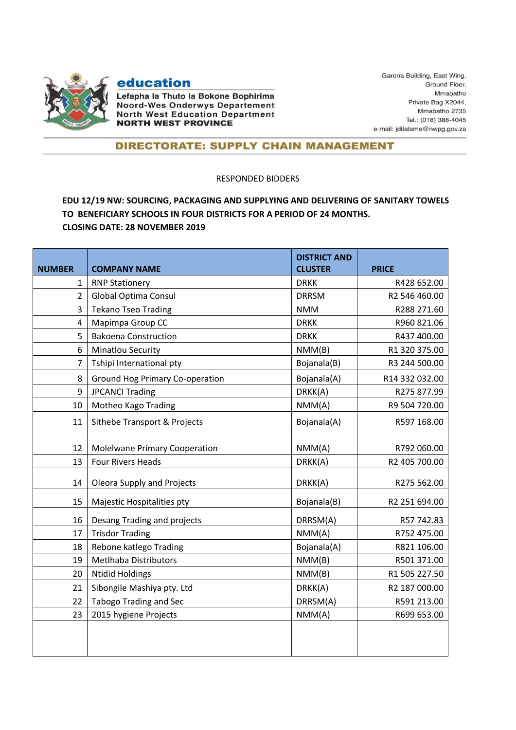

## education

Lefapha la Thuto la Bokone Bophirima **Noord-Wes Onderwys Departement North West Education Department NORTH WEST PROVINCE** 

Garona Building, East Wing, Ground Floor, Mmabatho Private Bag X2044, Mmabatho 2735 Tel.: (018) 388-4045 e-mail: jditalame@nwpg.gov.za

## **DIRECTORATE: SUPPLY CHAIN MANAGEMENT**

## RESPONDED BIDDERS

## **EDU 12/19 NW: SOURCING, PACKAGING AND SUPPLYING AND DELIVERING OF SANITARY TOWELS TO BENEFICIARY SCHOOLS IN FOUR DISTRICTS FOR A PERIOD OF 24 MONTHS. CLOSING DATE: 28 NOVEMBER 2019**

| <b>NUMBER</b>  | <b>COMPANY NAME</b>                    | <b>DISTRICT AND</b><br><b>CLUSTER</b> | <b>PRICE</b>   |
|----------------|----------------------------------------|---------------------------------------|----------------|
| $\mathbf{1}$   | <b>RNP Stationery</b>                  | <b>DRKK</b>                           | R428 652.00    |
| $\overline{2}$ | Global Optima Consul                   | <b>DRRSM</b>                          | R2 546 460.00  |
| 3              | <b>Tekano Tseo Trading</b>             | <b>NMM</b>                            | R288 271.60    |
| $\overline{4}$ | Mapimpa Group CC                       | <b>DRKK</b>                           | R960 821.06    |
| 5              | <b>Bakoena Construction</b>            | <b>DRKK</b>                           | R437 400.00    |
| 6              | Minatlou Security                      | NMM(B)                                | R1 320 375.00  |
| 7              | Tshipi International pty               | Bojanala(B)                           | R3 244 500.00  |
| 8              | <b>Ground Hog Primary Co-operation</b> | Bojanala(A)                           | R14 332 032.00 |
| 9              | <b>JPCANCI Trading</b>                 | DRKK(A)                               | R275 877.99    |
| 10             | Motheo Kago Trading                    | NMM(A)                                | R9 504 720.00  |
| 11             | Sithebe Transport & Projects           | Bojanala(A)                           | R597 168.00    |
| 12             | <b>Molelwane Primary Cooperation</b>   | NMM(A)                                | R792 060.00    |
| 13             | Four Rivers Heads                      | DRKK(A)                               | R2 405 700.00  |
| 14             | Oleora Supply and Projects             | DRKK(A)                               | R275 562.00    |
| 15             | Majestic Hospitalities pty             | Bojanala(B)                           | R2 251 694.00  |
| 16             | Desang Trading and projects            | DRRSM(A)                              | R57 742.83     |
| 17             | <b>Trisdor Trading</b>                 | NMM(A)                                | R752 475.00    |
| 18             | Rebone katlego Trading                 | Bojanala(A)                           | R821 106.00    |
| 19             | <b>Metlhaba Distributors</b>           | NMM(B)                                | R501 371.00    |
| 20             | <b>Ntidid Holdings</b>                 | NMM(B)                                | R1 505 227.50  |
| 21             | Sibongile Mashiya pty. Ltd             | DRKK(A)                               | R2 187 000.00  |
| 22             | <b>Tabogo Trading and Sec</b>          | DRRSM(A)                              | R591 213.00    |
| 23             | 2015 hygiene Projects                  | NMM(A)                                | R699 653.00    |
|                |                                        |                                       |                |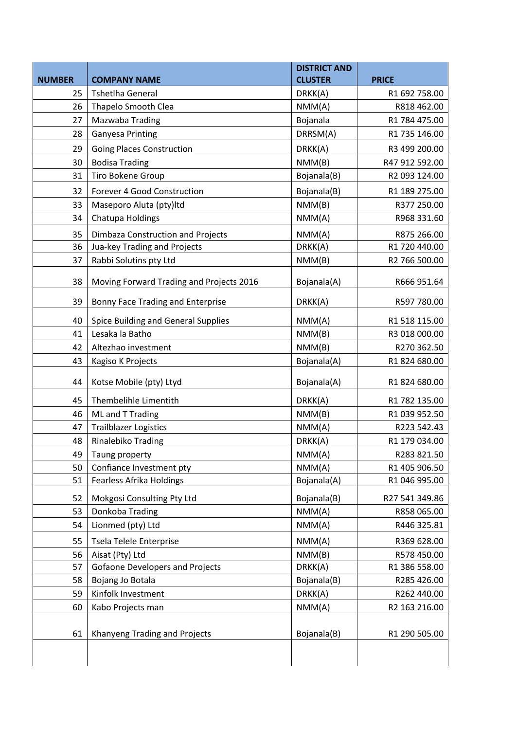|               |                                          | <b>DISTRICT AND</b> |                |
|---------------|------------------------------------------|---------------------|----------------|
| <b>NUMBER</b> | <b>COMPANY NAME</b>                      | <b>CLUSTER</b>      | <b>PRICE</b>   |
| 25            | <b>Tshetlha General</b>                  | DRKK(A)             | R1 692 758.00  |
| 26            | Thapelo Smooth Clea                      | NMM(A)              | R818 462.00    |
| 27            | Mazwaba Trading                          | Bojanala            | R1 784 475.00  |
| 28            | <b>Ganyesa Printing</b>                  | DRRSM(A)            | R1 735 146.00  |
| 29            | <b>Going Places Construction</b>         | DRKK(A)             | R3 499 200.00  |
| 30            | <b>Bodisa Trading</b>                    | NMM(B)              | R47 912 592.00 |
| 31            | Tiro Bokene Group                        | Bojanala(B)         | R2 093 124.00  |
| 32            | Forever 4 Good Construction              | Bojanala(B)         | R1 189 275.00  |
| 33            | Maseporo Aluta (pty)ltd                  | NMM(B)              | R377 250.00    |
| 34            | Chatupa Holdings                         | NMM(A)              | R968 331.60    |
| 35            | Dimbaza Construction and Projects        | NMM(A)              | R875 266.00    |
| 36            | Jua-key Trading and Projects             | DRKK(A)             | R1 720 440.00  |
| 37            | Rabbi Solutins pty Ltd                   | NMM(B)              | R2 766 500.00  |
|               |                                          |                     |                |
| 38            | Moving Forward Trading and Projects 2016 | Bojanala(A)         | R666 951.64    |
| 39            | Bonny Face Trading and Enterprise        | DRKK(A)             | R597 780.00    |
| 40            | Spice Building and General Supplies      | NMM(A)              | R1 518 115.00  |
| 41            | Lesaka la Batho                          | NMM(B)              | R3 018 000.00  |
| 42            | Altezhao investment                      | NMM(B)              | R270 362.50    |
| 43            | Kagiso K Projects                        | Bojanala(A)         | R1 824 680.00  |
| 44            | Kotse Mobile (pty) Ltyd                  | Bojanala(A)         | R1 824 680.00  |
| 45            | Thembelihle Limentith                    | DRKK(A)             | R1 782 135.00  |
| 46            | ML and T Trading                         | NMM(B)              | R1 039 952.50  |
| 47            | <b>Trailblazer Logistics</b>             | NMM(A)              | R223 542.43    |
| 48            | Rinalebiko Trading                       | DRKK(A)             | R1 179 034.00  |
| 49            | Taung property                           | NMM(A)              | R283 821.50    |
| 50            | Confiance Investment pty                 | NMM(A)              | R1 405 906.50  |
| 51            | Fearless Afrika Holdings                 | Bojanala(A)         | R1 046 995.00  |
| 52            | Mokgosi Consulting Pty Ltd               | Bojanala(B)         | R27 541 349.86 |
| 53            | Donkoba Trading                          | NMM(A)              | R858 065.00    |
| 54            | Lionmed (pty) Ltd                        | NMM(A)              | R446 325.81    |
| 55            | Tsela Telele Enterprise                  | NMM(A)              | R369 628.00    |
| 56            | Aisat (Pty) Ltd                          | NMM(B)              | R578 450.00    |
| 57            | <b>Gofaone Developers and Projects</b>   | DRKK(A)             | R1 386 558.00  |
| 58            | Bojang Jo Botala                         | Bojanala(B)         | R285 426.00    |
| 59            | Kinfolk Investment                       | DRKK(A)             | R262 440.00    |
| 60            | Kabo Projects man                        | NMM(A)              | R2 163 216.00  |
|               |                                          |                     |                |
| 61            | Khanyeng Trading and Projects            | Bojanala(B)         | R1 290 505.00  |
|               |                                          |                     |                |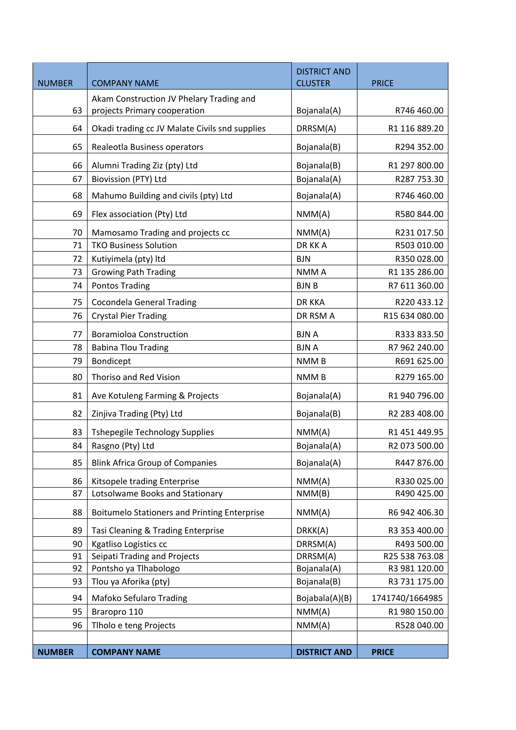| <b>NUMBER</b> | <b>COMPANY NAME</b>                                 | <b>DISTRICT AND</b><br><b>CLUSTER</b> | <b>PRICE</b>    |
|---------------|-----------------------------------------------------|---------------------------------------|-----------------|
|               | Akam Construction JV Phelary Trading and            |                                       |                 |
| 63            | projects Primary cooperation                        | Bojanala(A)                           | R746 460.00     |
| 64            | Okadi trading cc JV Malate Civils snd supplies      | DRRSM(A)                              | R1 116 889.20   |
| 65            | Realeotla Business operators                        | Bojanala(B)                           | R294 352.00     |
| 66            | Alumni Trading Ziz (pty) Ltd                        | Bojanala(B)                           | R1 297 800.00   |
| 67            | Biovission (PTY) Ltd                                | Bojanala(A)                           | R287 753.30     |
| 68            | Mahumo Building and civils (pty) Ltd                | Bojanala(A)                           | R746 460.00     |
| 69            | Flex association (Pty) Ltd                          | NMM(A)                                | R580 844.00     |
| 70            | Mamosamo Trading and projects cc                    | NMM(A)                                | R231017.50      |
| 71            | <b>TKO Business Solution</b>                        | DR KK A                               | R503 010.00     |
| 72            | Kutiyimela (pty) Itd                                | <b>BJN</b>                            | R350 028.00     |
| 73            | <b>Growing Path Trading</b>                         | NMM A                                 | R1 135 286.00   |
| 74            | <b>Pontos Trading</b>                               | <b>BJNB</b>                           | R7 611 360.00   |
| 75            | <b>Cocondela General Trading</b>                    | <b>DR KKA</b>                         | R220433.12      |
| 76            | <b>Crystal Pier Trading</b>                         | DR RSM A                              | R15 634 080.00  |
| 77            | <b>Boramioloa Construction</b>                      | <b>BJNA</b>                           | R333 833.50     |
| 78            | <b>Babina Tlou Trading</b>                          | <b>BJNA</b>                           | R7 962 240.00   |
| 79            | Bondicept                                           | NMM <sub>B</sub>                      | R691 625.00     |
| 80            | Thoriso and Red Vision                              | NMM <sub>B</sub>                      | R279 165.00     |
| 81            | Ave Kotuleng Farming & Projects                     | Bojanala(A)                           | R1 940 796.00   |
| 82            | Zinjiva Trading (Pty) Ltd                           | Bojanala(B)                           | R2 283 408.00   |
| 83            | <b>Tshepegile Technology Supplies</b>               | NMM(A)                                | R1 451 449.95   |
| 84            | Rasgno (Pty) Ltd                                    | Bojanala(A)                           | R2 073 500.00   |
| 85            | <b>Blink Africa Group of Companies</b>              | Bojanala(A)                           | R447 876.00     |
| 86            | Kitsopele trading Enterprise                        | NMM(A)                                | R330 025.00     |
| 87            | Lotsolwame Books and Stationary                     | NMM(B)                                | R490 425.00     |
| 88            | <b>Boitumelo Stationers and Printing Enterprise</b> | NMM(A)                                | R6 942 406.30   |
| 89            | Tasi Cleaning & Trading Enterprise                  | DRKK(A)                               | R3 353 400.00   |
| 90            | Kgatliso Logistics cc                               | DRRSM(A)                              | R493 500.00     |
| 91            | Seipati Trading and Projects                        | DRRSM(A)                              | R25 538 763.08  |
| 92            | Pontsho ya Tlhabologo                               | Bojanala(A)                           | R3 981 120.00   |
| 93            | Tlou ya Aforika (pty)                               | Bojanala(B)                           | R3 731 175.00   |
| 94            | Mafoko Sefularo Trading                             | Bojabala(A)(B)                        | 1741740/1664985 |
| 95            | Braropro 110                                        | NMM(A)                                | R1 980 150.00   |
| 96            | Tlholo e teng Projects                              | NMM(A)                                | R528 040.00     |
|               |                                                     |                                       |                 |
| <b>NUMBER</b> | <b>COMPANY NAME</b>                                 | <b>DISTRICT AND</b>                   | <b>PRICE</b>    |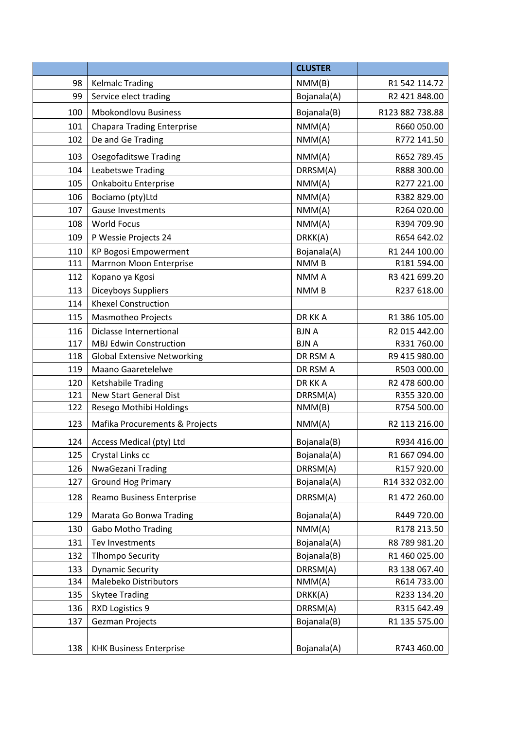|     |                                    | <b>CLUSTER</b>   |                 |
|-----|------------------------------------|------------------|-----------------|
| 98  | <b>Kelmalc Trading</b>             | NMM(B)           | R1 542 114.72   |
| 99  | Service elect trading              | Bojanala(A)      | R2 421 848.00   |
| 100 | <b>Mbokondlovu Business</b>        | Bojanala(B)      | R123 882 738.88 |
| 101 | <b>Chapara Trading Enterprise</b>  | NMM(A)           | R660 050.00     |
| 102 | De and Ge Trading                  | NMM(A)           | R772 141.50     |
| 103 | <b>Osegofaditswe Trading</b>       | NMM(A)           | R652 789.45     |
| 104 | Leabetswe Trading                  | DRRSM(A)         | R888 300.00     |
| 105 | Onkaboitu Enterprise               | NMM(A)           | R277 221.00     |
| 106 | Bociamo (pty)Ltd                   | NMM(A)           | R382 829.00     |
| 107 | <b>Gause Investments</b>           | NMM(A)           | R264 020.00     |
| 108 | <b>World Focus</b>                 | NMM(A)           | R394 709.90     |
| 109 | P Wessie Projects 24               | DRKK(A)          | R654 642.02     |
| 110 | <b>KP Bogosi Empowerment</b>       | Bojanala(A)      | R1 244 100.00   |
| 111 | Marrnon Moon Enterprise            | <b>NMMB</b>      | R181 594.00     |
| 112 | Kopano ya Kgosi                    | NMM A            | R3 421 699.20   |
| 113 | Diceyboys Suppliers                | NMM <sub>B</sub> | R237 618.00     |
| 114 | <b>Khexel Construction</b>         |                  |                 |
| 115 | Masmotheo Projects                 | DR KK A          | R1 386 105.00   |
| 116 | Diclasse Internertional            | <b>BJNA</b>      | R2 015 442.00   |
| 117 | <b>MBJ Edwin Construction</b>      | <b>BJNA</b>      | R331 760.00     |
| 118 | <b>Global Extensive Networking</b> | DR RSM A         | R9 415 980.00   |
| 119 | <b>Maano Gaaretelelwe</b>          | DR RSM A         | R503 000.00     |
| 120 | Ketshabile Trading                 | DR KK A          | R2 478 600.00   |
| 121 | <b>New Start General Dist</b>      | DRRSM(A)         | R355 320.00     |
| 122 | Resego Mothibi Holdings            | NMM(B)           | R754 500.00     |
| 123 | Mafika Procurements & Projects     | NMM(A)           | R2 113 216.00   |
| 124 | Access Medical (pty) Ltd           | Bojanala(B)      | R934 416.00     |
| 125 | Crystal Links cc                   | Bojanala(A)      | R1 667 094.00   |
| 126 | NwaGezani Trading                  | DRRSM(A)         | R157920.00      |
| 127 | <b>Ground Hog Primary</b>          | Bojanala(A)      | R14 332 032.00  |
| 128 | Reamo Business Enterprise          | DRRSM(A)         | R1 472 260.00   |
| 129 | Marata Go Bonwa Trading            | Bojanala(A)      | R449 720.00     |
| 130 | <b>Gabo Motho Trading</b>          | NMM(A)           | R178 213.50     |
| 131 | Tev Investments                    | Bojanala(A)      | R8 789 981.20   |
| 132 | <b>Tlhompo Security</b>            | Bojanala(B)      | R1 460 025.00   |
| 133 | <b>Dynamic Security</b>            | DRRSM(A)         | R3 138 067.40   |
| 134 | Malebeko Distributors              | NMM(A)           | R614 733.00     |
| 135 | <b>Skytee Trading</b>              | DRKK(A)          | R233 134.20     |
| 136 | RXD Logistics 9                    | DRRSM(A)         | R315 642.49     |
| 137 | Gezman Projects                    | Bojanala(B)      | R1 135 575.00   |
| 138 | <b>KHK Business Enterprise</b>     | Bojanala(A)      | R743 460.00     |